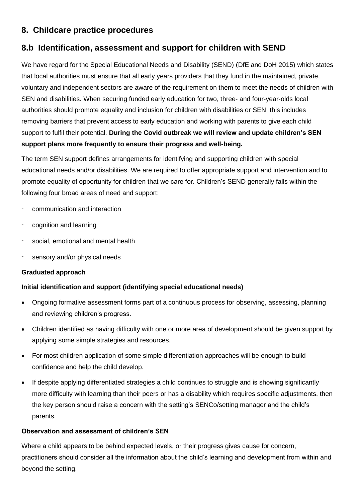# **8. Childcare practice procedures**

# **8.b Identification, assessment and support for children with SEND**

We have regard for the Special Educational Needs and Disability (SEND) (DfE and DoH 2015) which states that local authorities must ensure that all early years providers that they fund in the maintained, private, voluntary and independent sectors are aware of the requirement on them to meet the needs of children with SEN and disabilities. When securing funded early education for two, three- and four-year-olds local authorities should promote equality and inclusion for children with disabilities or SEN; this includes removing barriers that prevent access to early education and working with parents to give each child support to fulfil their potential. **During the Covid outbreak we will review and update children's SEN support plans more frequently to ensure their progress and well-being.**

The term SEN support defines arrangements for identifying and supporting children with special educational needs and/or disabilities. We are required to offer appropriate support and intervention and to promote equality of opportunity for children that we care for. Children's SEND generally falls within the following four broad areas of need and support:

- communication and interaction
- cognition and learning
- social, emotional and mental health
- sensory and/or physical needs

# **Graduated approach**

# **Initial identification and support (identifying special educational needs)**

- Ongoing formative assessment forms part of a continuous process for observing, assessing, planning and reviewing children's progress.
- Children identified as having difficulty with one or more area of development should be given support by applying some simple strategies and resources.
- For most children application of some simple differentiation approaches will be enough to build confidence and help the child develop.
- If despite applying differentiated strategies a child continues to struggle and is showing significantly more difficulty with learning than their peers or has a disability which requires specific adjustments, then the key person should raise a concern with the setting's SENCo/setting manager and the child's parents.

#### **Observation and assessment of children's SEN**

Where a child appears to be behind expected levels, or their progress gives cause for concern, practitioners should consider all the information about the child's learning and development from within and beyond the setting.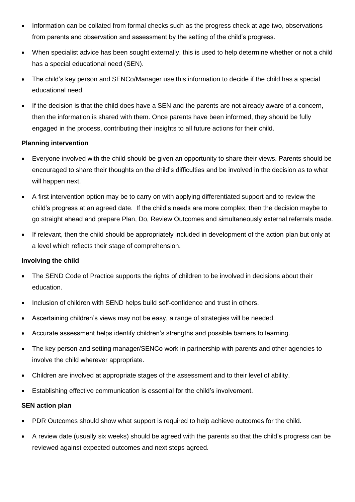- Information can be collated from formal checks such as the progress check at age two, observations from parents and observation and assessment by the setting of the child's progress.
- When specialist advice has been sought externally, this is used to help determine whether or not a child has a special educational need (SEN).
- The child's key person and SENCo/Manager use this information to decide if the child has a special educational need.
- If the decision is that the child does have a SEN and the parents are not already aware of a concern, then the information is shared with them. Once parents have been informed, they should be fully engaged in the process, contributing their insights to all future actions for their child.

## **Planning intervention**

- Everyone involved with the child should be given an opportunity to share their views. Parents should be encouraged to share their thoughts on the child's difficulties and be involved in the decision as to what will happen next.
- A first intervention option may be to carry on with applying differentiated support and to review the child's progress at an agreed date. If the child's needs are more complex, then the decision maybe to go straight ahead and prepare Plan, Do, Review Outcomes and simultaneously external referrals made.
- If relevant, then the child should be appropriately included in development of the action plan but only at a level which reflects their stage of comprehension.

#### **Involving the child**

- The SEND Code of Practice supports the rights of children to be involved in decisions about their education.
- Inclusion of children with SEND helps build self-confidence and trust in others.
- Ascertaining children's views may not be easy, a range of strategies will be needed.
- Accurate assessment helps identify children's strengths and possible barriers to learning.
- The key person and setting manager/SENCo work in partnership with parents and other agencies to involve the child wherever appropriate.
- Children are involved at appropriate stages of the assessment and to their level of ability.
- Establishing effective communication is essential for the child's involvement.

# **SEN action plan**

- PDR Outcomes should show what support is required to help achieve outcomes for the child.
- A review date (usually six weeks) should be agreed with the parents so that the child's progress can be reviewed against expected outcomes and next steps agreed.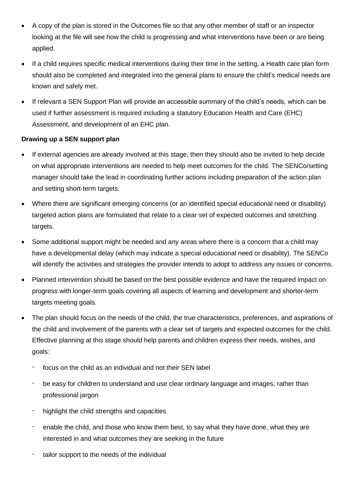- A copy of the plan is stored in the Outcomes file so that any other member of staff or an inspector looking at the file will see how the child is progressing and what interventions have been or are being applied.
- If a child requires specific medical interventions during their time in the setting, a Health care plan form should also be completed and integrated into the general plans to ensure the child's medical needs are known and safely met.
- If relevant a SEN Support Plan will provide an accessible summary of the child's needs, which can be used if further assessment is required including a statutory Education Health and Care (EHC) Assessment, and development of an EHC plan.

# **Drawing up a SEN support plan**

- If external agencies are already involved at this stage, then they should also be invited to help decide on what appropriate interventions are needed to help meet outcomes for the child. The SENCo/setting manager should take the lead in coordinating further actions including preparation of the action plan and setting short-term targets.
- Where there are significant emerging concerns (or an identified special educational need or disability) targeted action plans are formulated that relate to a clear set of expected outcomes and stretching targets.
- Some additional support might be needed and any areas where there is a concern that a child may have a developmental delay (which may indicate a special educational need or disability). The SENCo will identify the activities and strategies the provider intends to adopt to address any issues or concerns.
- Planned intervention should be based on the best possible evidence and have the required impact on progress with longer-term goals covering all aspects of learning and development and shorter-term targets meeting goals.
- The plan should focus on the needs of the child, the true characteristics, preferences, and aspirations of the child and involvement of the parents with a clear set of targets and expected outcomes for the child. Effective planning at this stage should help parents and children express their needs, wishes, and goals:
	- focus on the child as an individual and not their SEN label
	- be easy for children to understand and use clear ordinary language and images, rather than professional jargon
	- highlight the child strengths and capacities
	- enable the child, and those who know them best, to say what they have done, what they are interested in and what outcomes they are seeking in the future
	- tailor support to the needs of the individual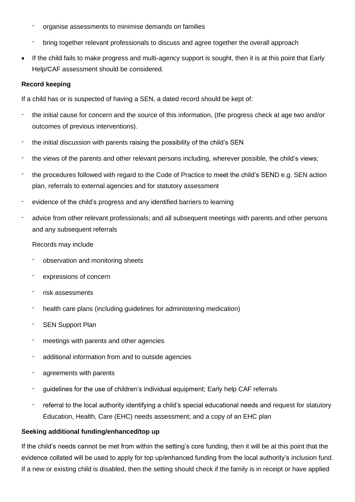- organise assessments to minimise demands on families
- bring together relevant professionals to discuss and agree together the overall approach
- If the child fails to make progress and multi-agency support is sought, then it is at this point that Early Help/CAF assessment should be considered.

#### **Record keeping**

If a child has or is suspected of having a SEN, a dated record should be kept of:

- the initial cause for concern and the source of this information, (the progress check at age two and/or outcomes of previous interventions).
- the initial discussion with parents raising the possibility of the child's SEN
- the views of the parents and other relevant persons including, wherever possible, the child's views;
- the procedures followed with regard to the Code of Practice to meet the child's SEND e.g. SEN action plan, referrals to external agencies and for statutory assessment
- evidence of the child's progress and any identified barriers to learning
- advice from other relevant professionals; and all subsequent meetings with parents and other persons and any subsequent referrals

#### Records may include

- observation and monitoring sheets
- expressions of concern
- risk assessments
- health care plans (including guidelines for administering medication)
- SEN Support Plan
- meetings with parents and other agencies
- additional information from and to outside agencies
- agreements with parents
- guidelines for the use of children's individual equipment; Early help CAF referrals
- referral to the local authority identifying a child's special educational needs and request for statutory Education, Health, Care (EHC) needs assessment; and a copy of an EHC plan

#### **Seeking additional funding/enhanced/top up**

If the child's needs cannot be met from within the setting's core funding, then it will be at this point that the evidence collated will be used to apply for top up/enhanced funding from the local authority's inclusion fund. If a new or existing child is disabled, then the setting should check if the family is in receipt or have applied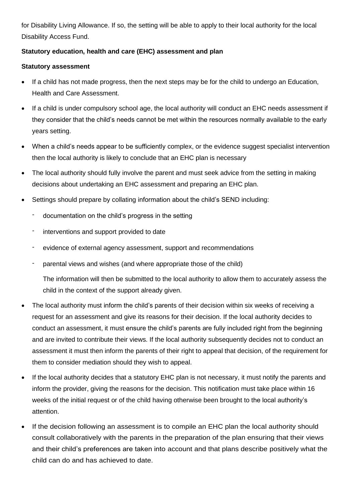for Disability Living Allowance. If so, the setting will be able to apply to their local authority for the local Disability Access Fund.

# **Statutory education, health and care (EHC) assessment and plan**

## **Statutory assessment**

- If a child has not made progress, then the next steps may be for the child to undergo an Education, Health and Care Assessment.
- If a child is under compulsory school age, the local authority will conduct an EHC needs assessment if they consider that the child's needs cannot be met within the resources normally available to the early years setting.
- When a child's needs appear to be sufficiently complex, or the evidence suggest specialist intervention then the local authority is likely to conclude that an EHC plan is necessary
- The local authority should fully involve the parent and must seek advice from the setting in making decisions about undertaking an EHC assessment and preparing an EHC plan.
- Settings should prepare by collating information about the child's SEND including:
	- documentation on the child's progress in the setting
	- interventions and support provided to date
	- evidence of external agency assessment, support and recommendations
	- parental views and wishes (and where appropriate those of the child)

The information will then be submitted to the local authority to allow them to accurately assess the child in the context of the support already given.

- The local authority must inform the child's parents of their decision within six weeks of receiving a request for an assessment and give its reasons for their decision. If the local authority decides to conduct an assessment, it must ensure the child's parents are fully included right from the beginning and are invited to contribute their views. If the local authority subsequently decides not to conduct an assessment it must then inform the parents of their right to appeal that decision, of the requirement for them to consider mediation should they wish to appeal.
- If the local authority decides that a statutory EHC plan is not necessary, it must notify the parents and inform the provider, giving the reasons for the decision. This notification must take place within 16 weeks of the initial request or of the child having otherwise been brought to the local authority's attention.
- If the decision following an assessment is to compile an EHC plan the local authority should consult collaboratively with the parents in the preparation of the plan ensuring that their views and their child's preferences are taken into account and that plans describe positively what the child can do and has achieved to date.